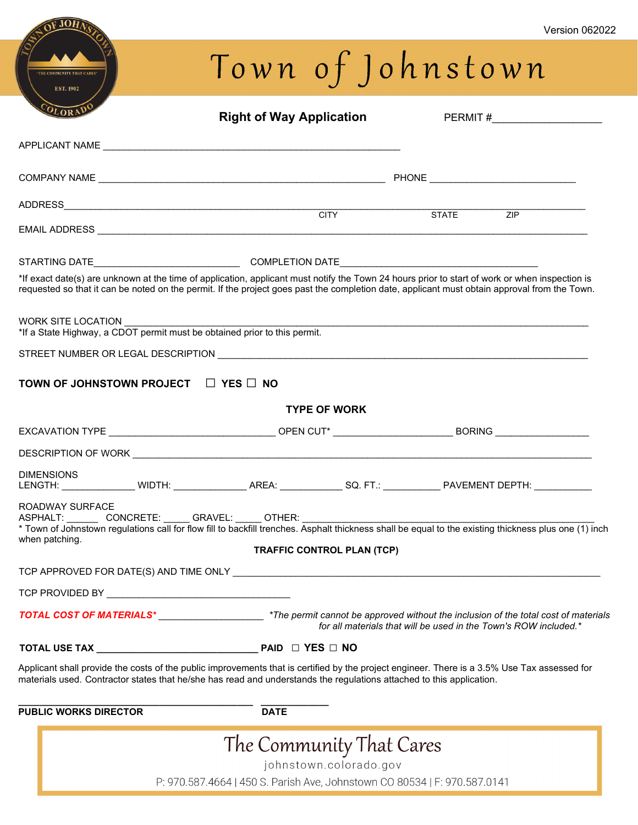# Town of Johnstown

OF JOHA

| OLORAL                                                                                          | <b>Right of Way Application</b>                                                                                                                                                                                                                                                                | PERMIT #_______________________                                                                                                                                                                           |
|-------------------------------------------------------------------------------------------------|------------------------------------------------------------------------------------------------------------------------------------------------------------------------------------------------------------------------------------------------------------------------------------------------|-----------------------------------------------------------------------------------------------------------------------------------------------------------------------------------------------------------|
|                                                                                                 |                                                                                                                                                                                                                                                                                                |                                                                                                                                                                                                           |
|                                                                                                 |                                                                                                                                                                                                                                                                                                |                                                                                                                                                                                                           |
|                                                                                                 |                                                                                                                                                                                                                                                                                                | <b>STATE</b><br>ZIP                                                                                                                                                                                       |
|                                                                                                 |                                                                                                                                                                                                                                                                                                |                                                                                                                                                                                                           |
|                                                                                                 |                                                                                                                                                                                                                                                                                                |                                                                                                                                                                                                           |
|                                                                                                 | *If exact date(s) are unknown at the time of application, applicant must notify the Town 24 hours prior to start of work or when inspection is<br>requested so that it can be noted on the permit. If the project goes past the completion date, applicant must obtain approval from the Town. |                                                                                                                                                                                                           |
| WORK SITE LOCATION<br>*If a State Highway, a CDOT permit must be obtained prior to this permit. |                                                                                                                                                                                                                                                                                                |                                                                                                                                                                                                           |
|                                                                                                 |                                                                                                                                                                                                                                                                                                |                                                                                                                                                                                                           |
| TOWN OF JOHNSTOWN PROJECT □ YES □ NO                                                            |                                                                                                                                                                                                                                                                                                |                                                                                                                                                                                                           |
|                                                                                                 | <b>TYPE OF WORK</b>                                                                                                                                                                                                                                                                            |                                                                                                                                                                                                           |
|                                                                                                 | EXCAVATION TYPE ___________________________________OPEN CUT* ____________________________BORING ____________________                                                                                                                                                                           |                                                                                                                                                                                                           |
|                                                                                                 |                                                                                                                                                                                                                                                                                                |                                                                                                                                                                                                           |
| <b>DIMENSIONS</b>                                                                               | LENGTH: ________________ WIDTH: ________________ AREA: ______________ SQ. FT.: _____________ PAVEMENT DEPTH: ___________                                                                                                                                                                       |                                                                                                                                                                                                           |
| ROADWAY SURFACE<br>when patching.                                                               | ASPHALT: _________CONCRETE: ______ GRAVEL: ______ OTHER: _______________________                                                                                                                                                                                                               | * Town of Johnstown regulations call for flow fill to backfill trenches. Asphalt thickness shall be equal to the existing thickness plus one (1) inch                                                     |
|                                                                                                 | <b>TRAFFIC CONTROL PLAN (TCP)</b>                                                                                                                                                                                                                                                              |                                                                                                                                                                                                           |
|                                                                                                 |                                                                                                                                                                                                                                                                                                |                                                                                                                                                                                                           |
|                                                                                                 |                                                                                                                                                                                                                                                                                                |                                                                                                                                                                                                           |
|                                                                                                 |                                                                                                                                                                                                                                                                                                | TOTAL COST OF MATERIALS* _________________________*The permit cannot be approved without the inclusion of the total cost of materials<br>for all materials that will be used in the Town's ROW included.* |
|                                                                                                 |                                                                                                                                                                                                                                                                                                |                                                                                                                                                                                                           |
|                                                                                                 | Applicant shall provide the costs of the public improvements that is certified by the project engineer. There is a 3.5% Use Tax assessed for<br>materials used. Contractor states that he/she has read and understands the regulations attached to this application.                           |                                                                                                                                                                                                           |
| <b>PUBLIC WORKS DIRECTOR</b>                                                                    | <b>DATE</b>                                                                                                                                                                                                                                                                                    |                                                                                                                                                                                                           |
|                                                                                                 | The Community That Cares                                                                                                                                                                                                                                                                       |                                                                                                                                                                                                           |
|                                                                                                 | johnstown.colorado.gov<br>P: 970.587.4664   450 S. Parish Ave, Johnstown CO 80534   F: 970.587.0141                                                                                                                                                                                            |                                                                                                                                                                                                           |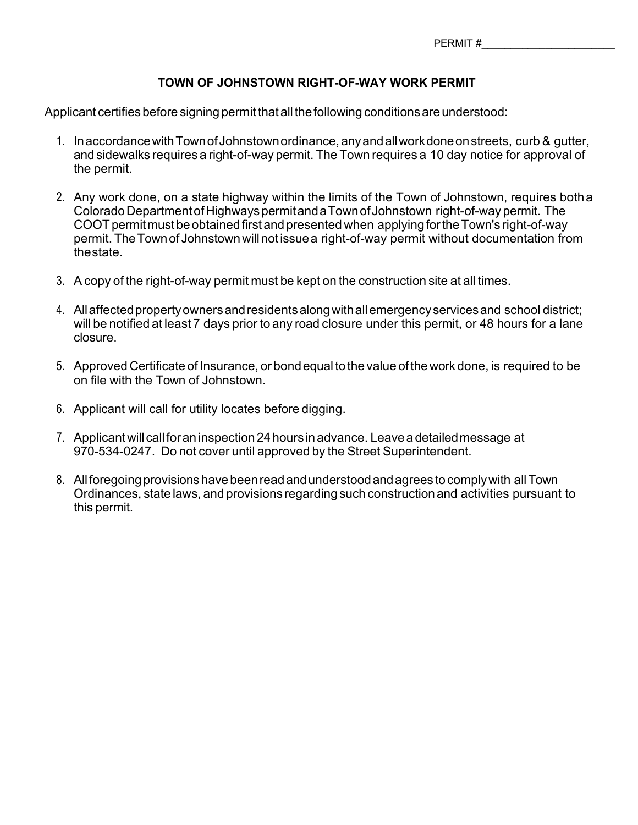#### **TOWN OF JOHNSTOWN RIGHT-OF-WAY WORK PERMIT**

Applicant certifies before signing permit that all the following conditions are understood:

- 1. InaccordancewithTownofJohnstownordinance,anyandallworkdoneonstreets, curb & gutter, and sidewalks requires a right-of-way permit. The Town requires a 10 day notice for approval of the permit.
- 2. Any work done, on a state highway within the limits of the Town of Johnstown, requires botha ColoradoDepartmentofHighwayspermitanda TownofJohnstown right-of-way permit. The COOT permit must be obtained first and presented when applying for the Town's right-of-way permit. TheTownof Johnstownwillnotissue a right-of-way permit without documentation from thestate.
- 3. A copy of the right-of-way permit must be kept on the construction site at all times.
- 4. Allaffectedpropertyownersandresidentsalongwithallemergencyservices and school district; will be notified at least 7 days prior to any road closure under this permit, or 48 hours for a lane closure.
- 5. Approved Certificate of Insurance, orbondequaltothe value ofthework done, is required to be on file with the Town of Johnstown.
- 6. Applicant will call for utility locates before digging.
- 7. Applicantwill callforan inspection 24 hours inadvance. Leavea detailedmessage at 970-534-0247. Do not cover until approved by the Street Superintendent.
- 8. All foregoing provisions have been read and understood and agrees to comply with all Town Ordinances, state laws, and provisions regardingsuch construction and activities pursuant to this permit.